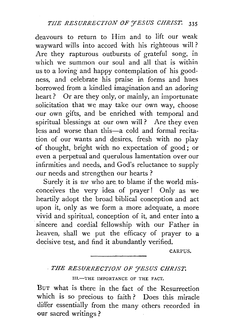deavours to return to Him and to lift our weak wayward wills into accord with his righteous will ? Are they rapturous outbursts of grateful song, in which we summon our soul and all that is within us to a loving and happy contemplation of his goodness, and celebrate his praise in forms and hues borrowed from a kindled imagination and an adoring heart? Or are they only, or mainly, an importunate solicitation that we may take our own way, choose our own gifts, and be enriched with temporal and spiritual blessings at our own will? Are they even less and worse than this-a cold and formal recitation of our wants and desires, fresh with no play of thought, bright with no expectation of good; or even a perpetual and querulous lamentation over our infirmities and needs, and God's reluctance to supply our needs and strengthen our hearts ?

Surely it is *we* who are. to blame if the world mis- .conceives the very idea of prayer! Only as we heartily adopt the broad biblical conception and act upon it, only as we form a more adequate, a more vivid and spiritual, conception of it, and enter into a sincere and cordial fellowship with our Father in heaven, shall we put the efficacy of prayer to a decisive test, and find it abundantly verified.

CARPUS.

## · *THE RESURRECTION OF 'JESUS CHRIST.*

III.-THE IMPORTANCE OF THE FACT.

BuT what is there in the fact of the Resurrection which is so precious to faith? Does this miracle differ essentially from the many others recorded in our sacred writings?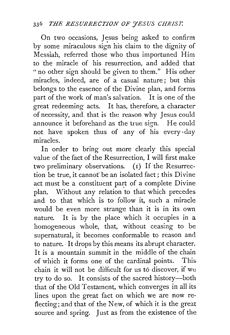## 336 *THE RESURRECTION OF 'JESUS CHRIST.*

On two occasions, Jesus being asked to confirm by some miraculous sign his claim to the dignity of Messiah, referred those who thus importuned Him to the miracle of his resurrection, and added that " no other sign should be given to them." His other miracles, indeed, are of a casual nature ; but this belongs to the essence of the Divine plan, and forms part of the work of man's salvation. It is one of the great redeeming acts. It has, therefore, a character of necessity, and. that is the reason why Jesus could announce it beforehand as the true sign. He could not have spoken thus of any of his every-day miracles.

In order to bring out more clearly this special value of the fact of the Resurrection, I will first make two preliminary observations. ( 1) If the Resurrection be true, it cannot' be an isolated fact; this Divine act must be a constituent part of a complete Divine plan. Without any relation to that which precedes and to that which is to· follow it, such a miracle would be even more strange than it is in its own nature. It is by the place which it occupies in a homogeneous whole, that, without ceasing to be supernatural, it becomes conformable to reason and to nature.· It drops by this means its abrupt character. It is a mountain summit in the middle of the chain of which it forms one of the cardinal points. This chain it will not be difficult for us to discover, if we try to do so. It consists of the sacred history-both that of the Old Testament, which converges in all its lines upon the great fact on which we are now reflecting; and that of the New, of which it is the great source and spring. Just as from the existence of the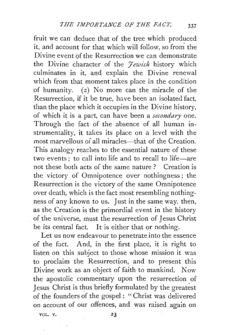fruit we can deduce that of the tree which produced it. and account for that which will follow, so from the · Divine event of the Resurrection we can demonstrate the Divine character of the *Jewish* history which culminates in it, and explain the Divine renewal which from that moment takes place in the condition of humanity. (2) No more can the miracle of the Resurrection, if it be true, have been an isolated fact, than the place which it occupies in the Divine history, of which it is a part, can have been a *secondary* one. Through the fact of the absence of all human instrumentality, it takes its place on a level with the most marvellous of all miracles—that of the Creation. This analogy reaches to the essential nature of these two events: to call into life and to recall to life-are not these both acts of the same nature ? Creation is the victory of Omnipotence over nothingness; the Resurrection is the victory of the same Omnipotence over death, which is the fact most resembling nothingness of any known to us. Just in the same way, then, as the Creation is the primordial event in the history of the universe, must the resurrection of Jesus Christ be its central fact. It is either that or nothing.

Let us now endeavour to penetrate into the essence of the fact. And, in the first place, it is right to listen on this subject to those whose mission it was to proclaim the Resurrection, and to present this Divine work as an object of faith to mankind. Now the apostolic commentary upon the resurrection of Iesus Christ is thus briefly formulated by the greatest of the founders of the gospel : " Christ was delivered on account of our offences, and was raised again on

VOL. V. 23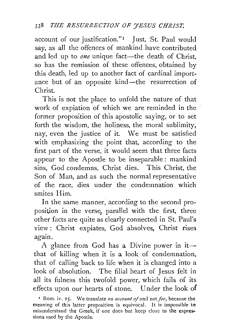account of our justification."<sup>1</sup> Just, St. Paul would say, as all the offences of mankind have contributed and led up to *one* unique fact—the death of Christ, so has the remission of these offences, obtained by this death, led up to another fact of cardinal importance but of an opposite kind-the resurrection of Christ.

This is not the place to unfold the nature of that work of expiation of which we are reminded in the former proposition of this apostolic saying, or to set forth the wisdom, the holiness, the moral sublimity, nay, even the justice of it. We must be satisfied with emphasizing the point that, according to the first part of the verse, it would seem that three facts appear to the Apostle to be inseparable: mankind sins, God condemns, Christ dies. This Christ, the Son of Man, and as such the normal representative of the race, dies under the condemnation which smites Him.

In the same manner, according to the second proposition in the verse, parallel with the first, three other facts are quite as clearly connected in St. Paul's view: Christ expiates, God absolves, Christ rises again.

A glance from God has a Divine power in itthat of killing when it is a look of condemnation, that of calling back to life when it is changed into a look of absolution. The filial heart of Jesus felt in all its fulness this twofold power, which. fails of its effects upon our hearts of stone. Under the look of

<sup>1</sup>Rom. iv. 25. We translate *on account of* and not *for,* because the meaning of this latter proposition is equivocal. It is impossible to misunderstand the Greek, if one does but keep close to the expressions used by the Apostle.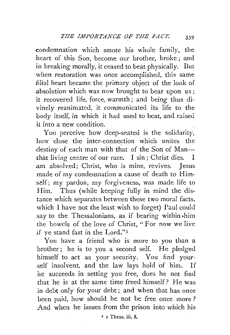condemnation which smote his whole family, the heart of this Son, become our brother, broke ; and in breaking morally, it ceased to beat physically. But when restoration was once accomplished, this same filial heart became the primary object of the look of absolution which was now brought to bear upon us; it recovered life, force, warmth; and being thus divinely reanimated, it communicated its life to the body itself, in which it had used to beat, and raised it into a new condition.

You perceive how deep-seated is the solidarity, how close the inter-connection which unites the destiny of each man with that of the Son of Manthat living centre of our race. I sin ; Christ dies. I .am absolved; Christ, who is mine, revives. Jesus made of my condemnation a cause of death to Himsdf; my pardon, my forgiveness, was made life to Him. Thus (while keeping fully in mind the distance which separates between these two moral facts, which I have not the least wish to forget) Paul could say to the Thessalonians, as if bearing within ·him the bowels of the love of Christ, "For now we live if ye stand fast in the Lord." <sup>I</sup>

You have a friend who is more to you than a brother; he is to you a second self. He pledged himself to act as your security. You find your- :self insolvent, and the law lays hold of him. If he succeeds in setting you free, does he not find that he is at the same time freed himself? He was in debt only for your debt; and when that has once been paid, how should he not be free once more ? And when he issues from the prison into which his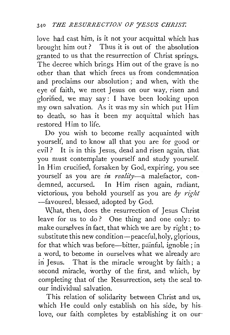love had cast him, is it not your acquittal which has brought him out? Thus it is out of the absolution granted to us that the resurrection of Christ springs. The decree which brings Him out of the grave is no other than that which frees us from condemnation and proclaims our absolution; and when, with the eye of faith, we meet Jesus on our way, risen and glorified, we may say: I have been looking upon my own salvation. As it was my sin which put Him to death, so has it been my acquittal which has. restored Him to life.

Do you wish to become really acquainted with yourself, and to know all that you are for good or evil? It is in this Jesus, dead and risen again, that you must contemplate yourself and study yourself. In Him crucified, forsaken by God, expiring, you see yourself as you are *in reality-a* malefactor, condemned, accursed. In Him risen again, radiant, victorious, you behold yourself as you are by right -favoured, blessed, adopted by God.

What, then, does the resurrection of Jesus Christ leave for us to do ? One thing and one only: to make ourselves in fact, that which we are by right; to. substitute this new condition-peaceful, holy, glorious, for that which was before-bitter, painful, ignoble; in a word, to become in ourselves what we already are in Jesus. That is the miracle wrought by faith ; a second miracle, worthy of the first, and which, by completing that of the Resurrection, sets the seal toour individual salvation.

This relation of solidarity between Christ and us, which He could only establish on his side, by his love, our faith completes by establishing it on our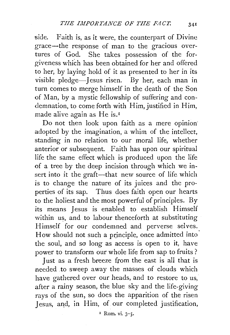side. Faith is, as it were, the counterpart of Divine grace-the response of man to the gracious overtures of God. She takes possession of the forgiveness which has been obtained for her and offered to her, by laying hold of it as presented to her in its visible pledge-Jesus risen. By her, each man in turn comes to merge himself in the death of the Son of Man, by a mystic fellowship of suffering and condemnation, to come forth with Him, justified in Him, made alive again as He is.<sup>1</sup>

Do not then look upon faith as a mere opinion adopted by the imagination, a whim of the intellect, standing in no relation to our moral life, whether anterior or subsequent. Faith has upon our spiritual life the same effect which is produced upon the life of a tree by the deep incision through which we insert into it the graft—that new source of life which is to change the nature of its juices and the properties of its sap. Thus does faith open our hearts to the holiest and the most powerful of principles. By its means Jesus is enabled to establish Himself within us, and to labour thenceforth at substituting Himself for our condemned and perverse selves. How should not such a principle, once admitted into the soul, and so long as access is open to it, have power to transform our whole life from sap to fruits ?

Just as a fresh breeze from the east is all that is needed to sweep away the masses of clouds which have gathered over our heads, and to restore to us, after a rainy season, the blue sky and the life-giving rays of the sun, so does the apparition of the risen Jesus, and, in Him, of our completed justification,

<sup>1</sup> Rom. vi. 3-5.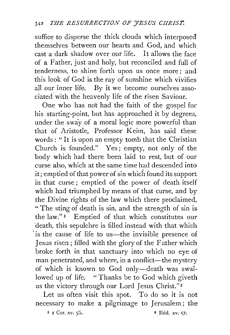suffice to disperse the thick clouds which interposed themselves between our hearts and God, and which cast a dark shadow over our life. It allows the face of a Father, just and holy, but reconciled and fuil cf tenderness, to shine forth upon us once more; and this look of God is the ray of sunshine which vivifies all our inner life. By it we become ourselves associated with the heavenly life of the risen Saviour.

One who has not had the faith of the gospel for his starting-point, but has approached it by degrees, under the sway of a moral logic more powerful than that of Aristotle, Professor Keim, has said these words: " It is upon an empty tomb that the Christian Church is founded." Yes; empty, not only of the body which had there been laid to rest, but of our curse also, which at the same time had descended into it; emptied of that power of sin which found its support in that curse; emptied of the power of death itself which had triumphed by means of that curse, and by the Divine rights of the law which there proclaimed, " The sting of death is sin, and the strength of sin is the law." I Emptied of that which constitutes our death, this sepulchre is filled instead with that which is the cause of life to us—the invisible presence of Jesus risen; filled with the glory of the Father which broke forth in that sanctuary into which no eye of man penetrated, and where, in a conflict-the mystery of which is known to God only--death was swallowed up of life. "Thanks be to God which giveth us the victory through our Lord Jesus Christ."<sup>2</sup>

Let us often visit this spot. To do so it is not necessary to make a pilgrimage to Jerusalem ; the

: I Cor. xv. sG. 2 Ibid. xv. S7·